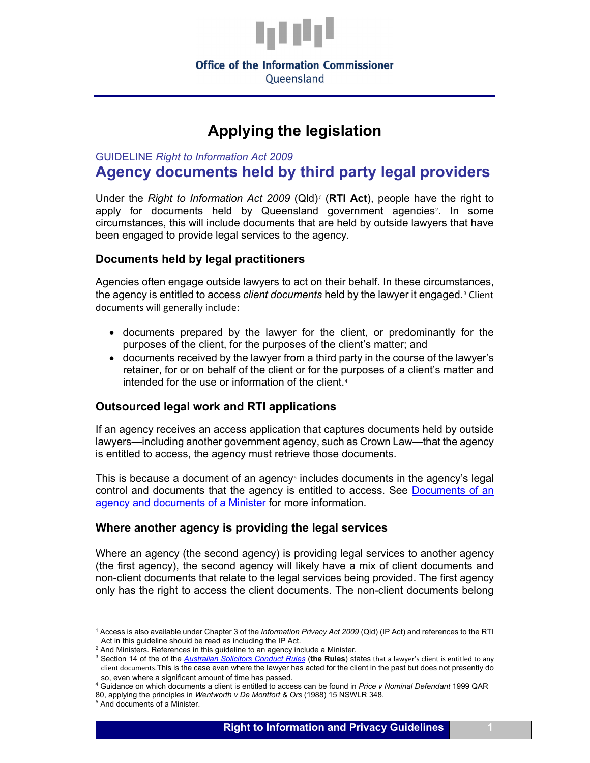

#### **Office of the Information Commissioner** Oueensland

# **Applying the legislation**

GUIDELINE *Right to Information Act 2009*

**Agency documents held by third party legal providers**

Under the *Right to Information Act 2009* (Qld)*[1](#page-0-0)* (**RTI Act**), people have the right to apply for documents held by Queensland government agencies<sup>[2](#page-0-1)</sup>. In some circumstances, this will include documents that are held by outside lawyers that have been engaged to provide legal services to the agency.

## **Documents held by legal practitioners**

Agencies often engage outside lawyers to act on their behalf. In these circumstances, the agency is entitled to access *client documents* held by the lawyer it engaged.[3](#page-0-2) Client documents will generally include:

- documents prepared by the lawyer for the client, or predominantly for the purposes of the client, for the purposes of the client's matter; and
- documents received by the lawyer from a third party in the course of the lawyer's retainer, for or on behalf of the client or for the purposes of a client's matter and intended for the use or information of the client.<sup>[4](#page-0-3)</sup>

## **Outsourced legal work and RTI applications**

If an agency receives an access application that captures documents held by outside lawyers—including another government agency, such as Crown Law—that the agency is entitled to access, the agency must retrieve those documents.

This is because a document of an agency<sup> $\epsilon$ </sup> includes documents in the agency's legal control and documents that the agency is entitled to access. See [Documents of an](https://www.oic.qld.gov.au/guidelines/for-government/access-and-amendment/receiving-and-assessing-applications/documents-of-an-agency-and-documents-of-a-minister)  [agency and documents of a Minister](https://www.oic.qld.gov.au/guidelines/for-government/access-and-amendment/receiving-and-assessing-applications/documents-of-an-agency-and-documents-of-a-minister) for more information.

## **Where another agency is providing the legal services**

Where an agency (the second agency) is providing legal services to another agency (the first agency), the second agency will likely have a mix of client documents and non-client documents that relate to the legal services being provided. The first agency only has the right to access the client documents. The non-client documents belong

<u>.</u>

<sup>1</sup> Access is also available under Chapter 3 of the *Information Privacy Act 2009* (Qld) (IP Act) and references to the RTI

<span id="page-0-1"></span><span id="page-0-0"></span>Act in this guideline should be read as including the IP Act.<br><sup>2</sup> And Ministers. References in this guideline to an agency include a Minister.

<span id="page-0-2"></span><sup>&</sup>lt;sup>3</sup> Section 14 of the of the *[Australian Solicitors Conduct Rules](https://www.lawcouncil.asn.au/files/web-pdf/Aus_Solicitors_Conduct_Rules.pdf)* (the Rules) states that a lawyer's client is entitled to any client documents. This is the case even where the lawyer has acted for the client in the past but does not presently do<br>so, even where a significant amount of time has passed.

<span id="page-0-3"></span><sup>&</sup>lt;sup>4</sup> Guidance on which documents a client is entitled to access can be found in *Price v Nominal Defendant* 1999 QAR 80, applying the principles in *Wentworth v De Montfort & Ors* (1988) 15 NSWLR 348.

<span id="page-0-4"></span><sup>5</sup> And documents of a Minister.